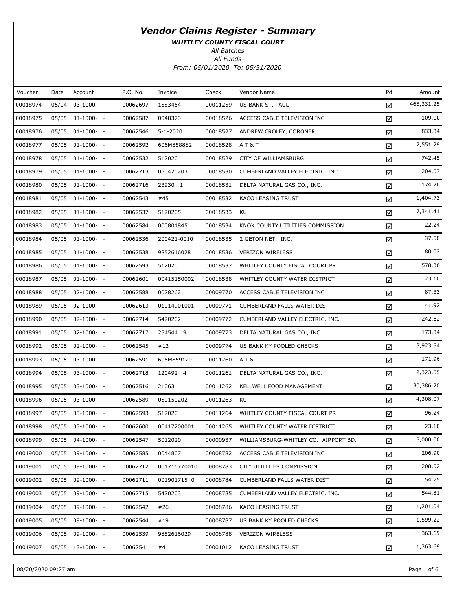WHITLEY COUNTY FISCAL COURT

All Batches

| Voucher  | Date | Account          | P.O. No. | Invoice      | Check    | Vendor Name                               | Pd | Amount     |
|----------|------|------------------|----------|--------------|----------|-------------------------------------------|----|------------|
| 00018974 |      | 05/04 03-1000- - | 00062697 | 1583464      | 00011259 | US BANK ST. PAUL                          | ☑  | 465,331.25 |
| 00018975 |      | 05/05 01-1000- - | 00062587 | 0048373      | 00018526 | ACCESS CABLE TELEVISION INC               | ☑  | 109.00     |
| 00018976 |      | 05/05 01-1000- - | 00062546 | 5-1-2020     | 00018527 | ANDREW CROLEY, CORONER                    | ☑  | 833.34     |
| 00018977 |      | 05/05 01-1000- - | 00062592 | 606M858882   | 00018528 | AT&T                                      | ☑  | 2,551.29   |
| 00018978 |      | 05/05 01-1000- - | 00062532 | 512020       | 00018529 | CITY OF WILLIAMSBURG                      | ☑  | 742.45     |
| 00018979 |      | 05/05 01-1000- - | 00062713 | 050420203    | 00018530 | CUMBERLAND VALLEY ELECTRIC, INC.          | ☑  | 204.57     |
| 00018980 |      | 05/05 01-1000- - | 00062716 | 23930 1      |          | 00018531 DELTA NATURAL GAS CO., INC.      | ☑  | 174.26     |
| 00018981 |      | 05/05 01-1000- - | 00062543 | #45          | 00018532 | KACO LEASING TRUST                        | ☑  | 1,404.73   |
| 00018982 |      | 05/05 01-1000- - | 00062537 | 5120205      | 00018533 | KU                                        | ☑  | 7,341.41   |
| 00018983 |      | 05/05 01-1000- - | 00062584 | 000801845    | 00018534 | KNOX COUNTY UTILITIES COMMISSION          | ☑  | 22.24      |
| 00018984 |      | 05/05 01-1000- - | 00062536 | 200421-0010  | 00018535 | 2 GETON NET, INC.                         | ☑  | 37.50      |
| 00018985 |      | 05/05 01-1000- - | 00062538 | 9852616028   | 00018536 | <b>VERIZON WIRELESS</b>                   | ☑  | 80.02      |
| 00018986 |      | 05/05 01-1000- - | 00062593 | 512020       | 00018537 | WHITLEY COUNTY FISCAL COURT PR            | ☑  | 578.36     |
| 00018987 |      | 05/05 01-1000- - | 00062601 | 00415150002  | 00018538 | WHITLEY COUNTY WATER DISTRICT             | ☑  | 23.10      |
| 00018988 |      | 05/05 02-1000- - | 00062588 | 0028262      | 00009770 | ACCESS CABLE TELEVISION INC               | ☑  | 87.33      |
| 00018989 |      | 05/05 02-1000- - | 00062613 | 01014901001  | 00009771 | CUMBERLAND FALLS WATER DIST               | ☑  | 41.92      |
| 00018990 |      | 05/05 02-1000- - | 00062714 | 5420202      |          | 00009772 CUMBERLAND VALLEY ELECTRIC, INC. | ☑  | 242.62     |
| 00018991 |      | 05/05 02-1000- - | 00062717 | 254544 9     |          | 00009773 DELTA NATURAL GAS CO., INC.      | ☑  | 173.34     |
| 00018992 |      | 05/05 02-1000- - | 00062545 | #12          |          | 00009774 US BANK KY POOLED CHECKS         | ☑  | 3,923.54   |
| 00018993 |      | 05/05 03-1000- - | 00062591 | 606M859120   | 00011260 | <b>AT&amp;T</b>                           | ☑  | 171.96     |
| 00018994 |      | 05/05 03-1000- - | 00062718 | 120492 4     |          | 00011261 DELTA NATURAL GAS CO., INC.      | ☑  | 2,323.55   |
| 00018995 |      | 05/05 03-1000- - | 00062516 | 21063        | 00011262 | KELLWELL FOOD MANAGEMENT                  | ☑  | 30,386.20  |
| 00018996 |      | 05/05 03-1000- - | 00062589 | 050150202    | 00011263 | KU                                        | ☑  | 4,308.07   |
| 00018997 |      | 05/05 03-1000- - | 00062593 | 512020       | 00011264 | WHITLEY COUNTY FISCAL COURT PR            | ☑  | 96.24      |
| 00018998 |      | 05/05 03-1000- - | 00062600 | 00417200001  | 00011265 | WHITLEY COUNTY WATER DISTRICT             | ☑  | 23.10      |
| 00018999 |      | 05/05 04-1000- - | 00062547 | 5012020      | 00000937 | WILLIAMSBURG-WHITLEY CO. AIRPORT BD.      | ☑  | 5,000.00   |
| 00019000 |      | 05/05 09-1000- - | 00062585 | 0044807      | 00008782 | ACCESS CABLE TELEVISION INC               | ☑  | 206.90     |
| 00019001 |      | 05/05 09-1000- - | 00062712 | 001716770010 | 00008783 | CITY UTILITIES COMMISSION                 | ☑  | 208.52     |
| 00019002 |      | 05/05 09-1000- - | 00062711 | 001901715 0  | 00008784 | CUMBERLAND FALLS WATER DIST               | ☑  | 54.75      |
| 00019003 |      | 05/05 09-1000- - | 00062715 | 5420203.     | 00008785 | CUMBERLAND VALLEY ELECTRIC, INC.          | ☑  | 544.81     |
| 00019004 |      | 05/05 09-1000- - | 00062542 | #26          | 00008786 | KACO LEASING TRUST                        | ☑  | 1,201.04   |
| 00019005 |      | 05/05 09-1000- - | 00062544 | #19          | 00008787 | US BANK KY POOLED CHECKS                  | ☑  | 1,599.22   |
| 00019006 |      | 05/05 09-1000- - | 00062539 | 9852616029   | 00008788 | <b>VERIZON WIRELESS</b>                   | ☑  | 363.69     |
| 00019007 |      | 05/05 13-1000- - | 00062541 | #4           | 00001012 | KACO LEASING TRUST                        | ☑  | 1,363.69   |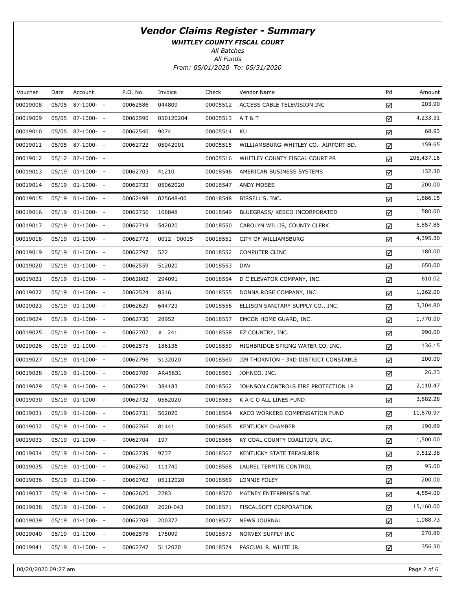WHITLEY COUNTY FISCAL COURT

All Batches

| Voucher  | Date | Account               | P.O. No. | Invoice    | Check    | Vendor Name                           | Pd | Amount     |
|----------|------|-----------------------|----------|------------|----------|---------------------------------------|----|------------|
| 00019008 |      | 05/05 87-1000- -      | 00062586 | 044809     | 00005512 | ACCESS CABLE TELEVISION INC           | ☑  | 203.90     |
| 00019009 |      | 05/05 87-1000- -      | 00062590 | 050120204  | 00005513 | AT&T                                  | ☑  | 4,233.31   |
| 00019010 |      | 05/05 87-1000- -      | 00062540 | 9074       | 00005514 | KU                                    | ☑  | 68.93      |
| 00019011 |      | 05/05 87-1000- -      | 00062722 | 05042001   | 00005515 | WILLIAMSBURG-WHITLEY CO. AIRPORT BD.  | ☑  | 159.65     |
| 00019012 |      | 05/12 87-1000- -      |          |            | 00005516 | WHITLEY COUNTY FISCAL COURT PR        | ☑  | 208,437.16 |
| 00019013 |      | $05/19$ $01-1000-$ -  | 00062703 | 41210      | 00018546 | AMERICAN BUSINESS SYSTEMS             | ☑  | 132.30     |
| 00019014 |      | 05/19 01-1000- -      | 00062733 | 05062020   | 00018547 | ANDY MOSES                            | ☑  | 200.00     |
| 00019015 |      | $05/19$ $01-1000$ - - | 00062498 | 025648-00  | 00018548 | BISSELL'S, INC.                       | ☑  | 1,886.15   |
| 00019016 |      | 05/19 01-1000- -      | 00062756 | 168848     | 00018549 | BLUEGRASS/ KESCO INCORPORATED         | ☑  | 580.00     |
| 00019017 |      | $05/19$ $01-1000$ - - | 00062719 | 542020     | 00018550 | CAROLYN WILLIS, COUNTY CLERK          | ☑  | 6,857.85   |
| 00019018 |      | 05/19 01-1000- -      | 00062772 | 0012 00015 | 00018551 | CITY OF WILLIAMSBURG                  | ☑  | 4,395.30   |
| 00019019 |      | $05/19$ $01-1000-$ -  | 00062797 | 522        | 00018552 | <b>COMPUTER CLINC</b>                 | ☑  | 180.00     |
| 00019020 |      | 05/19 01-1000- -      | 00062559 | 512020     | 00018553 | DAV                                   | ☑  | 650.00     |
| 00019021 |      | 05/19 01-1000- -      | 00062802 | 294091     | 00018554 | D C ELEVATOR COMPANY, INC.            | ☑  | 610.02     |
| 00019022 |      | 05/19 01-1000- -      | 00062524 | 8516       | 00018555 | DONNA ROSE COMPANY, INC.              | ☑  | 1,262.00   |
| 00019023 |      | 05/19 01-1000- -      | 00062629 | 644723     | 00018556 | ELLISON SANITARY SUPPLY CO., INC.     | ☑  | 3,304.80   |
| 00019024 |      | 05/19 01-1000- -      | 00062730 | 28952      | 00018557 | EMCON HOME GUARD, INC.                | ☑  | 1,770.00   |
| 00019025 |      | 05/19 01-1000- -      | 00062707 | # 241      | 00018558 | EZ COUNTRY, INC.                      | ☑  | 990.00     |
| 00019026 |      | 05/19 01-1000- -      | 00062575 | 186136     | 00018559 | HIGHBRIDGE SPRING WATER CO, INC.      | ☑  | 136.15     |
| 00019027 |      | 05/19 01-1000- -      | 00062796 | 5132020    | 00018560 | JIM THORNTON - 3RD DISTRICT CONSTABLE | ☑  | 200.00     |
| 00019028 |      | 05/19 01-1000- -      | 00062709 | AR45631    | 00018561 | JOHNCO, INC.                          | ☑  | 26.23      |
| 00019029 |      | $05/19$ $01-1000$ - - | 00062791 | 384183     | 00018562 | JOHNSON CONTROLS FIRE PROTECTION LP   | ☑  | 2,110.47   |
| 00019030 |      | $05/19$ $01-1000$ - - | 00062732 | 0562020    | 00018563 | K A C O ALL LINES FUND                | ☑  | 3,882.28   |
| 00019031 |      | 05/19 01-1000- -      | 00062731 | 562020     | 00018564 | KACO WORKERS COMPENSATION FUND        | ☑  | 11,670.97  |
| 00019032 |      | 05/19 01-1000- -      | 00062766 | 81441      | 00018565 | <b>KENTUCKY CHAMBER</b>               | ☑  | 190.89     |
| 00019033 |      | 05/19 01-1000- -      | 00062704 | 197        | 00018566 | KY COAL COUNTY COALITION, INC.        | ☑  | 1,500.00   |
| 00019034 |      | $05/19$ $01-1000$ - - | 00062739 | 9737       | 00018567 | KENTUCKY STATE TREASURER              | ☑  | 9,512.38   |
| 00019035 |      | $05/19$ $01-1000$ - - | 00062760 | 111740     | 00018568 | LAUREL TERMITE CONTROL                | ☑  | 95.00      |
| 00019036 |      | 05/19 01-1000- -      | 00062762 | 05112020   | 00018569 | LONNIE FOLEY                          | ☑  | 200.00     |
| 00019037 |      | $05/19$ $01-1000$ - - | 00062620 | 2283       | 00018570 | MATNEY ENTERPRISES INC                | ☑  | 4,554.00   |
| 00019038 |      | 05/19 01-1000- -      | 00062608 | 2020-043   | 00018571 | FISCALSOFT CORPORATION                | ☑  | 15,160.00  |
| 00019039 |      | $05/19$ $01-1000$ - - | 00062708 | 200377     | 00018572 | <b>NEWS JOURNAL</b>                   | ☑  | 1,088.73   |
| 00019040 |      | $05/19$ $01-1000-$ -  | 00062578 | 175099     | 00018573 | NORVEX SUPPLY INC                     | ☑  | 270.80     |
| 00019041 |      | 05/19 01-1000- -      | 00062747 | 5112020    | 00018574 | PASCUAL R. WHITE JR.                  | ☑  | 356.50     |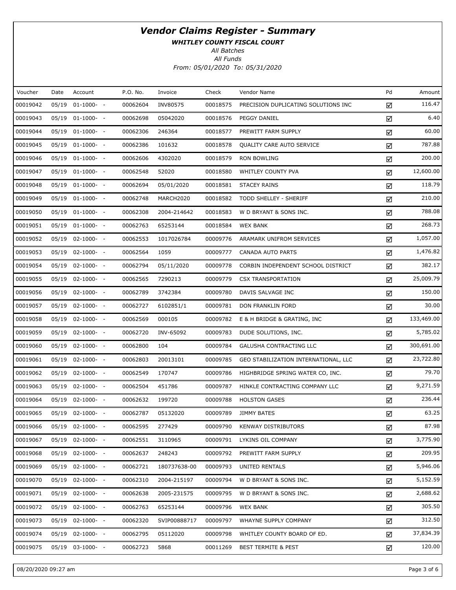WHITLEY COUNTY FISCAL COURT

All Batches

| Voucher  | Date  | Account          | P.O. No. | Invoice      | Check    | Vendor Name                          | Pd | Amount     |
|----------|-------|------------------|----------|--------------|----------|--------------------------------------|----|------------|
| 00019042 | 05/19 | $01-1000- -$     | 00062604 | INV80575     | 00018575 | PRECISION DUPLICATING SOLUTIONS INC  | ☑  | 116.47     |
| 00019043 |       | 05/19 01-1000- - | 00062698 | 05042020     | 00018576 | PEGGY DANIEL                         | ☑  | 6.40       |
| 00019044 | 05/19 | $01-1000-$       | 00062306 | 246364       | 00018577 | PREWITT FARM SUPPLY                  | ☑  | 60.00      |
| 00019045 |       | 05/19 01-1000- - | 00062386 | 101632       | 00018578 | QUALITY CARE AUTO SERVICE            | ☑  | 787.88     |
| 00019046 | 05/19 | $01-1000-$       | 00062606 | 4302020      | 00018579 | RON BOWLING                          | ☑  | 200.00     |
| 00019047 |       | 05/19 01-1000- - | 00062548 | 52020        | 00018580 | WHITLEY COUNTY PVA                   | ☑  | 12,600.00  |
| 00019048 | 05/19 | $01-1000-$ -     | 00062694 | 05/01/2020   | 00018581 | <b>STACEY RAINS</b>                  | ☑  | 118.79     |
| 00019049 |       | 05/19 01-1000- - | 00062748 | MARCH2020    | 00018582 | TODD SHELLEY - SHERIFF               | ☑  | 210.00     |
| 00019050 | 05/19 | $01-1000-$       | 00062308 | 2004-214642  | 00018583 | W D BRYANT & SONS INC.               | ☑  | 788.08     |
| 00019051 |       | 05/19 01-1000- - | 00062763 | 65253144     | 00018584 | <b>WEX BANK</b>                      | ☑  | 268.73     |
| 00019052 | 05/19 | $02 - 1000 - -$  | 00062553 | 1017026784   | 00009776 | ARAMARK UNIFROM SERVICES             | ☑  | 1,057.00   |
| 00019053 |       | 05/19 02-1000- - | 00062564 | 1059         | 00009777 | CANADA AUTO PARTS                    | ☑  | 1,476.82   |
| 00019054 | 05/19 | $02 - 1000 - -$  | 00062794 | 05/11/2020   | 00009778 | CORBIN INDEPENDENT SCHOOL DISTRICT   | ☑  | 382.17     |
| 00019055 |       | 05/19 02-1000- - | 00062565 | 7290213      | 00009779 | <b>CSX TRANSPORTATION</b>            | ☑  | 25,009.79  |
| 00019056 | 05/19 | $02 - 1000 - -$  | 00062789 | 3742384      | 00009780 | DAVIS SALVAGE INC                    | ☑  | 150.00     |
| 00019057 | 05/19 | $02 - 1000 - -$  | 00062727 | 6102851/1    | 00009781 | DON FRANKLIN FORD                    | ☑  | 30.00      |
| 00019058 | 05/19 | $02 - 1000 - -$  | 00062569 | 000105       | 00009782 | E & H BRIDGE & GRATING, INC          | ☑  | 133,469.00 |
| 00019059 | 05/19 | $02 - 1000 - -$  | 00062720 | INV-65092    | 00009783 | DUDE SOLUTIONS, INC.                 | ☑  | 5,785.02   |
| 00019060 | 05/19 | $02 - 1000 - -$  | 00062800 | 104          | 00009784 | GALUSHA CONTRACTING LLC              | ☑  | 300,691.00 |
| 00019061 | 05/19 | $02 - 1000 - -$  | 00062803 | 20013101     | 00009785 | GEO STABILIZATION INTERNATIONAL, LLC | ☑  | 23,722.80  |
| 00019062 | 05/19 | $02 - 1000 - -$  | 00062549 | 170747       | 00009786 | HIGHBRIDGE SPRING WATER CO, INC.     | ☑  | 79.70      |
| 00019063 |       | 05/19 02-1000- - | 00062504 | 451786       | 00009787 | HINKLE CONTRACTING COMPANY LLC       | ☑  | 9,271.59   |
| 00019064 | 05/19 | $02 - 1000 - -$  | 00062632 | 199720       | 00009788 | <b>HOLSTON GASES</b>                 | ☑  | 236.44     |
| 00019065 |       | 05/19 02-1000- - | 00062787 | 05132020     | 00009789 | <b>JIMMY BATES</b>                   | ☑  | 63.25      |
| 00019066 |       | 05/19 02-1000- - | 00062595 | 277429       | 00009790 | <b>KENWAY DISTRIBUTORS</b>           | ☑  | 87.98      |
| 00019067 | 05/19 | $02-1000- -$     | 00062551 | 3110965      | 00009791 | LYKINS OIL COMPANY                   | ☑  | 3,775.90   |
| 00019068 | 05/19 | $02 - 1000 - -$  | 00062637 | 248243       | 00009792 | PREWITT FARM SUPPLY                  | ☑  | 209.95     |
| 00019069 | 05/19 | $02 - 1000 - -$  | 00062721 | 180737638-00 | 00009793 | UNITED RENTALS                       | ☑  | 5,946.06   |
| 00019070 | 05/19 | $02 - 1000 - -$  | 00062310 | 2004-215197  | 00009794 | W D BRYANT & SONS INC.               | ☑  | 5,152.59   |
| 00019071 | 05/19 | $02 - 1000 - -$  | 00062638 | 2005-231575  | 00009795 | W D BRYANT & SONS INC.               | ☑  | 2,688.62   |
| 00019072 | 05/19 | $02 - 1000 - -$  | 00062763 | 65253144     | 00009796 | <b>WEX BANK</b>                      | ☑  | 305.50     |
| 00019073 | 05/19 | $02-1000- -$     | 00062320 | SVIP00888717 | 00009797 | WHAYNE SUPPLY COMPANY                | ☑  | 312.50     |
| 00019074 | 05/19 | $02 - 1000 - -$  | 00062795 | 05112020     | 00009798 | WHITLEY COUNTY BOARD OF ED.          | ☑  | 37,834.39  |
| 00019075 |       | 05/19 03-1000- - | 00062723 | 5868         | 00011269 | <b>BEST TERMITE &amp; PEST</b>       | ☑  | 120.00     |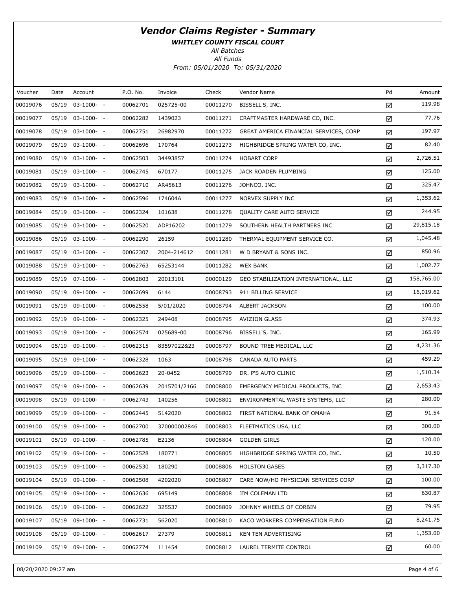WHITLEY COUNTY FISCAL COURT

All Batches

| Voucher  | Date  | Account               | P.O. No. | Invoice      | Check    | Vendor Name                            | Pd | Amount     |
|----------|-------|-----------------------|----------|--------------|----------|----------------------------------------|----|------------|
| 00019076 | 05/19 | $03-1000- -$          | 00062701 | 025725-00    | 00011270 | BISSELL'S, INC.                        | ☑  | 119.98     |
| 00019077 |       | 05/19 03-1000- -      | 00062282 | 1439023      | 00011271 | CRAFTMASTER HARDWARE CO, INC.          | ☑  | 77.76      |
| 00019078 |       | 05/19 03-1000- -      | 00062751 | 26982970     | 00011272 | GREAT AMERICA FINANCIAL SERVICES, CORP | ☑  | 197.97     |
| 00019079 |       | $05/19$ $03-1000$ - - | 00062696 | 170764       | 00011273 | HIGHBRIDGE SPRING WATER CO, INC.       | ☑  | 82.40      |
| 00019080 |       | 05/19 03-1000- -      | 00062503 | 34493857     | 00011274 | <b>HOBART CORP</b>                     | ☑  | 2,726.51   |
| 00019081 |       | 05/19 03-1000- -      | 00062745 | 670177       | 00011275 | JACK ROADEN PLUMBING                   | ☑  | 125.00     |
| 00019082 |       | 05/19 03-1000- -      | 00062710 | AR45613      | 00011276 | JOHNCO, INC.                           | ☑  | 325.47     |
| 00019083 |       | $05/19$ $03-1000$ - - | 00062596 | 174604A      | 00011277 | NORVEX SUPPLY INC                      | ☑  | 1,353.62   |
| 00019084 |       | 05/19 03-1000- -      | 00062324 | 101638       | 00011278 | QUALITY CARE AUTO SERVICE              | ☑  | 244.95     |
| 00019085 |       | $05/19$ $03-1000$ - - | 00062520 | ADP16202     | 00011279 | SOUTHERN HEALTH PARTNERS INC           | ☑  | 29,815.18  |
| 00019086 |       | 05/19 03-1000- -      | 00062290 | 26159        | 00011280 | THERMAL EQUIPMENT SERVICE CO.          | ☑  | 1,045.48   |
| 00019087 |       | 05/19 03-1000- -      | 00062307 | 2004-214612  | 00011281 | W D BRYANT & SONS INC.                 | ☑  | 850.96     |
| 00019088 |       | 05/19 03-1000- -      | 00062763 | 65253144     | 00011282 | <b>WEX BANK</b>                        | ☑  | 1,002.77   |
| 00019089 |       | 05/19 07-1000- -      | 00062803 | 20013101     | 00000129 | GEO STABILIZATION INTERNATIONAL, LLC   | ☑  | 158,765.00 |
| 00019090 |       | 05/19 09-1000- -      | 00062699 | 6144         | 00008793 | 911 BILLING SERVICE                    | ☑  | 16,019.62  |
| 00019091 |       | 05/19 09-1000- -      | 00062558 | 5/01/2020    | 00008794 | ALBERT JACKSON                         | ☑  | 100.00     |
| 00019092 |       | 05/19 09-1000- -      | 00062325 | 249408       | 00008795 | <b>AVIZION GLASS</b>                   | ☑  | 374.93     |
| 00019093 |       | 05/19 09-1000- -      | 00062574 | 025689-00    | 00008796 | BISSELL'S, INC.                        | ☑  | 165.99     |
| 00019094 |       | 05/19 09-1000- -      | 00062315 | 83597022&23  | 00008797 | BOUND TREE MEDICAL, LLC                | ☑  | 4,231.36   |
| 00019095 |       | 05/19 09-1000- -      | 00062328 | 1063         | 00008798 | CANADA AUTO PARTS                      | ☑  | 459.29     |
| 00019096 |       | 05/19 09-1000- -      | 00062623 | 20-0452      | 00008799 | DR. P'S AUTO CLINIC                    | ☑  | 1,510.34   |
| 00019097 |       | 05/19 09-1000- -      | 00062639 | 2015701/2166 | 00008800 | EMERGENCY MEDICAL PRODUCTS, INC        | ☑  | 2,653.43   |
| 00019098 |       | 05/19 09-1000- -      | 00062743 | 140256       | 00008801 | ENVIRONMENTAL WASTE SYSTEMS, LLC       | ☑  | 280.00     |
| 00019099 |       | 05/19 09-1000- -      | 00062445 | 5142020      | 00008802 | FIRST NATIONAL BANK OF OMAHA           | ☑  | 91.54      |
| 00019100 |       | 05/19 09-1000- -      | 00062700 | 370000002846 | 00008803 | FLEETMATICS USA, LLC                   | ☑  | 300.00     |
| 00019101 | 05/19 | 09-1000- -            | 00062785 | E2136        | 00008804 | <b>GOLDEN GIRLS</b>                    | ☑  | 120.00     |
| 00019102 |       | $05/19$ 09-1000- -    | 00062528 | 180771       | 00008805 | HIGHBRIDGE SPRING WATER CO, INC.       | ☑  | 10.50      |
| 00019103 |       | $05/19$ 09-1000- -    | 00062530 | 180290       | 00008806 | <b>HOLSTON GASES</b>                   | ☑  | 3,317.30   |
| 00019104 |       | $05/19$ 09-1000- -    | 00062508 | 4202020      | 00008807 | CARE NOW/HO PHYSICIAN SERVICES CORP    | ☑  | 100.00     |
| 00019105 |       | 05/19 09-1000- -      | 00062636 | 695149       | 00008808 | <b>JIM COLEMAN LTD</b>                 | ☑  | 630.87     |
| 00019106 |       | $05/19$ 09-1000- -    | 00062622 | 325537       | 00008809 | JOHNNY WHEELS OF CORBIN                | ☑  | 79.95      |
| 00019107 | 05/19 | 09-1000- -            | 00062731 | 562020       | 00008810 | KACO WORKERS COMPENSATION FUND         | ☑  | 8,241.75   |
| 00019108 |       | $05/19$ 09-1000- -    | 00062617 | 27379        | 00008811 | KEN TEN ADVERTISING                    | ☑  | 1,353.00   |
| 00019109 |       | 05/19 09-1000- -      | 00062774 | 111454       | 00008812 | LAUREL TERMITE CONTROL                 | ☑  | 60.00      |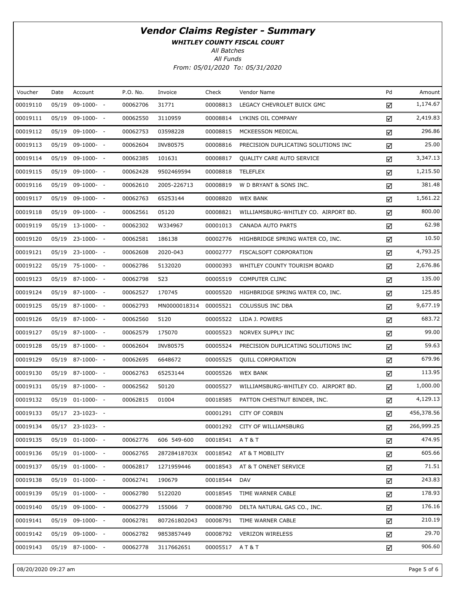WHITLEY COUNTY FISCAL COURT

All Batches

| Voucher  | Date  | Account              | P.O. No. | Invoice      | Check    | Vendor Name                          | Pd | Amount     |
|----------|-------|----------------------|----------|--------------|----------|--------------------------------------|----|------------|
| 00019110 | 05/19 | $09-1000- -$         | 00062706 | 31771        | 00008813 | LEGACY CHEVROLET BUICK GMC           | ☑  | 1,174.67   |
| 00019111 | 05/19 | 09-1000- -           | 00062550 | 3110959      | 00008814 | LYKINS OIL COMPANY                   | ☑  | 2,419.83   |
| 00019112 | 05/19 | $09-1000- -$         | 00062753 | 03598228     | 00008815 | MCKEESSON MEDICAL                    | ☑  | 296.86     |
| 00019113 | 05/19 | 09-1000- -           | 00062604 | INV80575     | 00008816 | PRECISION DUPLICATING SOLUTIONS INC  | ☑  | 25.00      |
| 00019114 | 05/19 | $09-1000- -$         | 00062385 | 101631       | 00008817 | QUALITY CARE AUTO SERVICE            | ☑  | 3,347.13   |
| 00019115 | 05/19 | 09-1000- -           | 00062428 | 9502469594   | 00008818 | <b>TELEFLEX</b>                      | ☑  | 1,215.50   |
| 00019116 | 05/19 | 09-1000- -           | 00062610 | 2005-226713  | 00008819 | W D BRYANT & SONS INC.               | ☑  | 381.48     |
| 00019117 | 05/19 | 09-1000- -           | 00062763 | 65253144     | 00008820 | <b>WEX BANK</b>                      | ☑  | 1,561.22   |
| 00019118 | 05/19 | 09-1000- -           | 00062561 | 05120        | 00008821 | WILLIAMSBURG-WHITLEY CO. AIRPORT BD. | ☑  | 800.00     |
| 00019119 |       | 05/19 13-1000- -     | 00062302 | W334967      | 00001013 | CANADA AUTO PARTS                    | ☑  | 62.98      |
| 00019120 |       | $05/19$ 23-1000- -   | 00062581 | 186138       | 00002776 | HIGHBRIDGE SPRING WATER CO, INC.     | ☑  | 10.50      |
| 00019121 |       | $05/19$ 23-1000- -   | 00062608 | 2020-043     | 00002777 | FISCALSOFT CORPORATION               | ☑  | 4,793.25   |
| 00019122 |       | 05/19 75-1000- -     | 00062786 | 5132020      | 00000393 | WHITLEY COUNTY TOURISM BOARD         | ☑  | 2,676.86   |
| 00019123 |       | 05/19 87-1000- -     | 00062798 | 523          | 00005519 | <b>COMPUTER CLINC</b>                | ☑  | 135.00     |
| 00019124 |       | 05/19 87-1000- -     | 00062527 | 170745       | 00005520 | HIGHBRIDGE SPRING WATER CO, INC.     | ☑  | 125.85     |
| 00019125 |       | 05/19 87-1000- -     | 00062793 | MN0000018314 | 00005521 | COLUSSUS INC DBA                     | ☑  | 9,677.19   |
| 00019126 |       | 05/19 87-1000- -     | 00062560 | 5120         | 00005522 | LIDA J. POWERS                       | ☑  | 683.72     |
| 00019127 |       | 05/19 87-1000- -     | 00062579 | 175070       | 00005523 | NORVEX SUPPLY INC                    | ☑  | 99.00      |
| 00019128 |       | 05/19 87-1000- -     | 00062604 | INV80575     | 00005524 | PRECISION DUPLICATING SOLUTIONS INC  | ☑  | 59.63      |
| 00019129 |       | 05/19 87-1000- -     | 00062695 | 6648672      | 00005525 | <b>QUILL CORPORATION</b>             | ☑  | 679.96     |
| 00019130 |       | 05/19 87-1000- -     | 00062763 | 65253144     | 00005526 | <b>WEX BANK</b>                      | ☑  | 113.95     |
| 00019131 |       | 05/19 87-1000- -     | 00062562 | 50120        | 00005527 | WILLIAMSBURG-WHITLEY CO. AIRPORT BD. | ☑  | 1,000.00   |
| 00019132 | 05/19 | $01-1000-$           | 00062815 | 01004        | 00018585 | PATTON CHESTNUT BINDER, INC.         | ☑  | 4,129.13   |
| 00019133 |       | 05/17 23-1023- -     |          |              | 00001291 | <b>CITY OF CORBIN</b>                | ☑  | 456,378.56 |
| 00019134 |       | 05/17 23-1023- -     |          |              |          | 00001292 CITY OF WILLIAMSBURG        | ☑  | 266,999.25 |
| 00019135 |       | $05/19$ $01-1000-$ - | 00062776 | 606 549-600  | 00018541 | AT&T                                 | ☑  | 474.95     |
| 00019136 |       | 05/19 01-1000- -     | 00062765 | 28728418703X | 00018542 | AT & T MOBILITY                      | ☑  | 605.66     |
| 00019137 | 05/19 | $01-1000-$           | 00062817 | 1271959446   | 00018543 | AT & T ONENET SERVICE                | ☑  | 71.51      |
| 00019138 |       | 05/19 01-1000- -     | 00062741 | 190679       | 00018544 | DAV                                  | ☑  | 243.83     |
| 00019139 | 05/19 | $01-1000-$           | 00062780 | 5122020      | 00018545 | TIME WARNER CABLE                    | ☑  | 178.93     |
| 00019140 |       | 05/19 09-1000- -     | 00062779 | 155066 7     | 00008790 | DELTA NATURAL GAS CO., INC.          | ☑  | 176.16     |
| 00019141 | 05/19 | 09-1000- -           | 00062781 | 807261802043 | 00008791 | TIME WARNER CABLE                    | ☑  | 210.19     |
| 00019142 |       | 05/19 09-1000- -     | 00062782 | 9853857449   | 00008792 | <b>VERIZON WIRELESS</b>              | ☑  | 29.70      |
| 00019143 |       | 05/19 87-1000- -     | 00062778 | 3117662651   | 00005517 | AT&T                                 | ☑  | 906.60     |